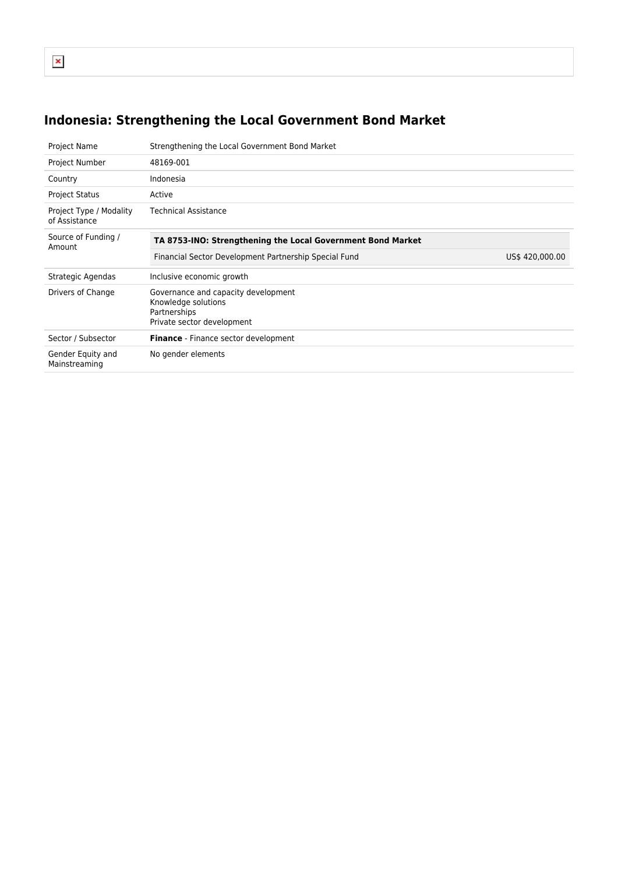```
\pmb{\times}
```
# **Indonesia: Strengthening the Local Government Bond Market**

| Project Name                             | Strengthening the Local Government Bond Market                                                           |                 |  |  |  |
|------------------------------------------|----------------------------------------------------------------------------------------------------------|-----------------|--|--|--|
| Project Number                           | 48169-001                                                                                                |                 |  |  |  |
| Country                                  | Indonesia                                                                                                |                 |  |  |  |
| <b>Project Status</b>                    | Active                                                                                                   |                 |  |  |  |
| Project Type / Modality<br>of Assistance | <b>Technical Assistance</b>                                                                              |                 |  |  |  |
| Source of Funding /<br>Amount            | TA 8753-INO: Strengthening the Local Government Bond Market                                              |                 |  |  |  |
|                                          | Financial Sector Development Partnership Special Fund                                                    | US\$ 420,000.00 |  |  |  |
| Strategic Agendas                        | Inclusive economic growth                                                                                |                 |  |  |  |
| Drivers of Change                        | Governance and capacity development<br>Knowledge solutions<br>Partnerships<br>Private sector development |                 |  |  |  |
| Sector / Subsector                       | Finance - Finance sector development                                                                     |                 |  |  |  |
| Gender Equity and<br>Mainstreaming       | No gender elements                                                                                       |                 |  |  |  |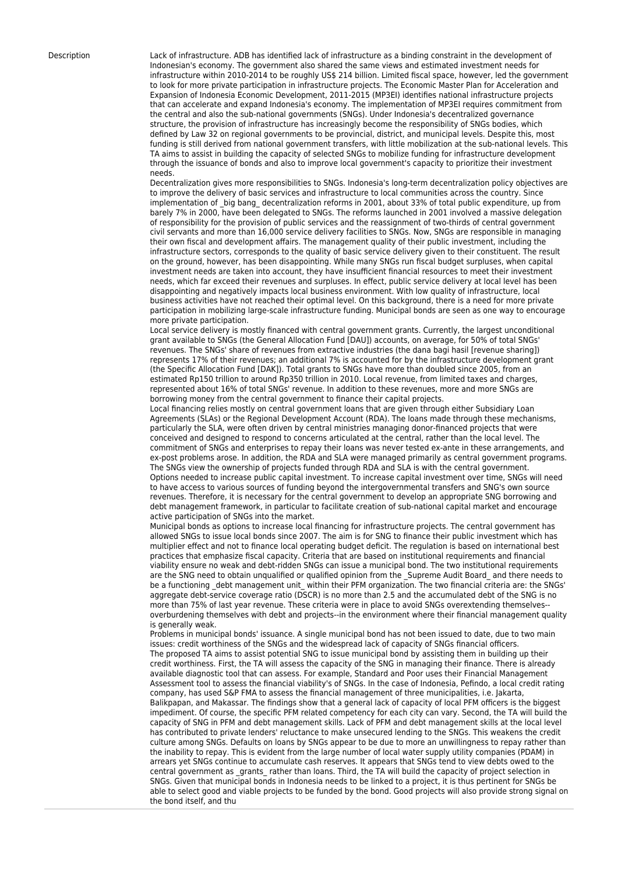Description Lack of infrastructure. ADB has identified lack of infrastructure as a binding constraint in the development of Indonesian's economy. The government also shared the same views and estimated investment needs for infrastructure within 2010-2014 to be roughly US\$ 214 billion. Limited fiscal space, however, led the government to look for more private participation in infrastructure projects. The Economic Master Plan for Acceleration and Expansion of Indonesia Economic Development, 2011-2015 (MP3EI) identifies national infrastructure projects that can accelerate and expand Indonesia's economy. The implementation of MP3EI requires commitment from the central and also the sub-national governments (SNGs). Under Indonesia's decentralized governance structure, the provision of infrastructure has increasingly become the responsibility of SNGs bodies, which defined by Law 32 on regional governments to be provincial, district, and municipal levels. Despite this, most funding is still derived from national government transfers, with little mobilization at the sub-national levels. This TA aims to assist in building the capacity of selected SNGs to mobilize funding for infrastructure development through the issuance of bonds and also to improve local government's capacity to prioritize their investment needs.

> Decentralization gives more responsibilities to SNGs. Indonesia's long-term decentralization policy objectives are to improve the delivery of basic services and infrastructure to local communities across the country. Since implementation of \_big bang\_ decentralization reforms in 2001, about 33% of total public expenditure, up from barely 7% in 2000, have been delegated to SNGs. The reforms launched in 2001 involved a massive delegation of responsibility for the provision of public services and the reassignment of two-thirds of central government civil servants and more than 16,000 service delivery facilities to SNGs. Now, SNGs are responsible in managing their own fiscal and development affairs. The management quality of their public investment, including the infrastructure sectors, corresponds to the quality of basic service delivery given to their constituent. The result on the ground, however, has been disappointing. While many SNGs run fiscal budget surpluses, when capital investment needs are taken into account, they have insufficient financial resources to meet their investment needs, which far exceed their revenues and surpluses. In effect, public service delivery at local level has been disappointing and negatively impacts local business environment. With low quality of infrastructure, local business activities have not reached their optimal level. On this background, there is a need for more private participation in mobilizing large-scale infrastructure funding. Municipal bonds are seen as one way to encourage more private participation.

Local service delivery is mostly financed with central government grants. Currently, the largest unconditional grant available to SNGs (the General Allocation Fund [DAU]) accounts, on average, for 50% of total SNGs' revenues. The SNGs' share of revenues from extractive industries (the dana bagi hasil [revenue sharing]) represents 17% of their revenues; an additional 7% is accounted for by the infrastructure development grant (the Specific Allocation Fund [DAK]). Total grants to SNGs have more than doubled since 2005, from an estimated Rp150 trillion to around Rp350 trillion in 2010. Local revenue, from limited taxes and charges, represented about 16% of total SNGs' revenue. In addition to these revenues, more and more SNGs are borrowing money from the central government to finance their capital projects.

Local financing relies mostly on central government loans that are given through either Subsidiary Loan Agreements (SLAs) or the Regional Development Account (RDA). The loans made through these mechanisms, particularly the SLA, were often driven by central ministries managing donor-financed projects that were conceived and designed to respond to concerns articulated at the central, rather than the local level. The commitment of SNGs and enterprises to repay their loans was never tested ex-ante in these arrangements, and ex-post problems arose. In addition, the RDA and SLA were managed primarily as central government programs. The SNGs view the ownership of projects funded through RDA and SLA is with the central government. Options needed to increase public capital investment. To increase capital investment over time, SNGs will need to have access to various sources of funding beyond the intergovernmental transfers and SNG's own source revenues. Therefore, it is necessary for the central government to develop an appropriate SNG borrowing and debt management framework, in particular to facilitate creation of sub-national capital market and encourage active participation of SNGs into the market.

Municipal bonds as options to increase local financing for infrastructure projects. The central government has allowed SNGs to issue local bonds since 2007. The aim is for SNG to finance their public investment which has multiplier effect and not to finance local operating budget deficit. The regulation is based on international best practices that emphasize fiscal capacity. Criteria that are based on institutional requirements and financial viability ensure no weak and debt-ridden SNGs can issue a municipal bond. The two institutional requirements are the SNG need to obtain unqualified or qualified opinion from the Supreme Audit Board and there needs to be a functioning debt management unit within their PFM organization. The two financial criteria are: the SNGs' aggregate debt-service coverage ratio (DSCR) is no more than 2.5 and the accumulated debt of the SNG is no more than 75% of last year revenue. These criteria were in place to avoid SNGs overextending themselves- overburdening themselves with debt and projects--in the environment where their financial management quality is generally weak.

Problems in municipal bonds' issuance. A single municipal bond has not been issued to date, due to two main issues: credit worthiness of the SNGs and the widespread lack of capacity of SNGs financial officers. The proposed TA aims to assist potential SNG to issue municipal bond by assisting them in building up their credit worthiness. First, the TA will assess the capacity of the SNG in managing their finance. There is already available diagnostic tool that can assess. For example, Standard and Poor uses their Financial Management Assessment tool to assess the financial viability's of SNGs. In the case of Indonesia, Pefindo, a local credit rating company, has used S&P FMA to assess the financial management of three municipalities, i.e. Jakarta, Balikpapan, and Makassar. The findings show that a general lack of capacity of local PFM officers is the biggest impediment. Of course, the specific PFM related competency for each city can vary. Second, the TA will build the capacity of SNG in PFM and debt management skills. Lack of PFM and debt management skills at the local level has contributed to private lenders' reluctance to make unsecured lending to the SNGs. This weakens the credit culture among SNGs. Defaults on loans by SNGs appear to be due to more an unwillingness to repay rather than the inability to repay. This is evident from the large number of local water supply utility companies (PDAM) in arrears yet SNGs continue to accumulate cash reserves. It appears that SNGs tend to view debts owed to the central government as grants rather than loans. Third, the TA will build the capacity of project selection in SNGs. Given that municipal bonds in Indonesia needs to be linked to a project, it is thus pertinent for SNGs be able to select good and viable projects to be funded by the bond. Good projects will also provide strong signal on the bond itself, and thu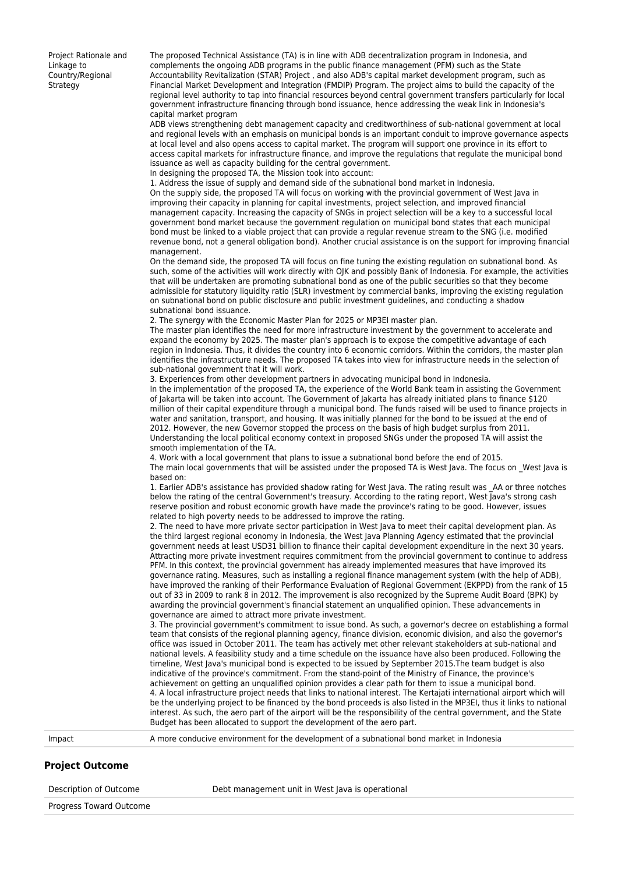Project Rationale and Linkage to Country/Regional **Strategy** 

The proposed Technical Assistance (TA) is in line with ADB decentralization program in Indonesia, and complements the ongoing ADB programs in the public finance management (PFM) such as the State Accountability Revitalization (STAR) Project , and also ADB's capital market development program, such as Financial Market Development and Integration (FMDIP) Program. The project aims to build the capacity of the regional level authority to tap into financial resources beyond central government transfers particularly for local government infrastructure financing through bond issuance, hence addressing the weak link in Indonesia's capital market program

ADB views strengthening debt management capacity and creditworthiness of sub-national government at local and regional levels with an emphasis on municipal bonds is an important conduit to improve governance aspects at local level and also opens access to capital market. The program will support one province in its effort to access capital markets for infrastructure finance, and improve the regulations that regulate the municipal bond issuance as well as capacity building for the central government.

In designing the proposed TA, the Mission took into account: 1. Address the issue of supply and demand side of the subnational bond market in Indonesia.

On the supply side, the proposed TA will focus on working with the provincial government of West Java in improving their capacity in planning for capital investments, project selection, and improved financial management capacity. Increasing the capacity of SNGs in project selection will be a key to a successful local government bond market because the government regulation on municipal bond states that each municipal bond must be linked to a viable project that can provide a regular revenue stream to the SNG (i.e. modified revenue bond, not a general obligation bond). Another crucial assistance is on the support for improving financial management.

On the demand side, the proposed TA will focus on fine tuning the existing regulation on subnational bond. As such, some of the activities will work directly with OJK and possibly Bank of Indonesia. For example, the activities that will be undertaken are promoting subnational bond as one of the public securities so that they become admissible for statutory liquidity ratio (SLR) investment by commercial banks, improving the existing regulation on subnational bond on public disclosure and public investment guidelines, and conducting a shadow subnational bond issuance.

2. The synergy with the Economic Master Plan for 2025 or MP3EI master plan.

The master plan identifies the need for more infrastructure investment by the government to accelerate and expand the economy by 2025. The master plan's approach is to expose the competitive advantage of each region in Indonesia. Thus, it divides the country into 6 economic corridors. Within the corridors, the master plan identifies the infrastructure needs. The proposed TA takes into view for infrastructure needs in the selection of sub-national government that it will work.

3. Experiences from other development partners in advocating municipal bond in Indonesia. In the implementation of the proposed TA, the experience of the World Bank team in assisting the Government of Jakarta will be taken into account. The Government of Jakarta has already initiated plans to finance \$120 million of their capital expenditure through a municipal bond. The funds raised will be used to finance projects in water and sanitation, transport, and housing. It was initially planned for the bond to be issued at the end of 2012. However, the new Governor stopped the process on the basis of high budget surplus from 2011. Understanding the local political economy context in proposed SNGs under the proposed TA will assist the smooth implementation of the TA.

4. Work with a local government that plans to issue a subnational bond before the end of 2015. The main local governments that will be assisted under the proposed TA is West Java. The focus on \_West Java is based on:

1. Earlier ADB's assistance has provided shadow rating for West Java. The rating result was AA or three notches below the rating of the central Government's treasury. According to the rating report, West Java's strong cash reserve position and robust economic growth have made the province's rating to be good. However, issues related to high poverty needs to be addressed to improve the rating.

2. The need to have more private sector participation in West Java to meet their capital development plan. As the third largest regional economy in Indonesia, the West Java Planning Agency estimated that the provincial government needs at least USD31 billion to finance their capital development expenditure in the next 30 years. Attracting more private investment requires commitment from the provincial government to continue to address PFM. In this context, the provincial government has already implemented measures that have improved its governance rating. Measures, such as installing a regional finance management system (with the help of ADB), have improved the ranking of their Performance Evaluation of Regional Government (EKPPD) from the rank of 15 out of 33 in 2009 to rank 8 in 2012. The improvement is also recognized by the Supreme Audit Board (BPK) by awarding the provincial government's financial statement an unqualified opinion. These advancements in governance are aimed to attract more private investment.

3. The provincial government's commitment to issue bond. As such, a governor's decree on establishing a formal team that consists of the regional planning agency, finance division, economic division, and also the governor's office was issued in October 2011. The team has actively met other relevant stakeholders at sub-national and national levels. A feasibility study and a time schedule on the issuance have also been produced. Following the timeline, West Java's municipal bond is expected to be issued by September 2015.The team budget is also indicative of the province's commitment. From the stand-point of the Ministry of Finance, the province's achievement on getting an unqualified opinion provides a clear path for them to issue a municipal bond. 4. A local infrastructure project needs that links to national interest. The Kertajati international airport which will be the underlying project to be financed by the bond proceeds is also listed in the MP3EI, thus it links to national interest. As such, the aero part of the airport will be the responsibility of the central government, and the State Budget has been allocated to support the development of the aero part.

Impact A more conducive environment for the development of a subnational bond market in Indonesia

#### **Project Outcome**

Description of Outcome Debt management unit in West Java is operational

Progress Toward Outcome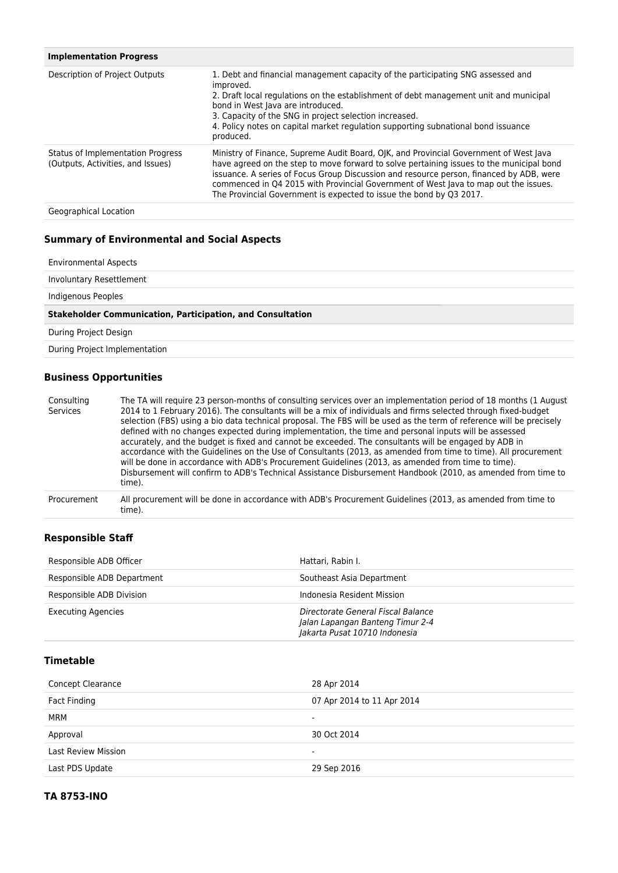| <b>Implementation Progress</b>                                         |                                                                                                                                                                                                                                                                                                                                                                                                                                            |
|------------------------------------------------------------------------|--------------------------------------------------------------------------------------------------------------------------------------------------------------------------------------------------------------------------------------------------------------------------------------------------------------------------------------------------------------------------------------------------------------------------------------------|
| Description of Project Outputs                                         | 1. Debt and financial management capacity of the participating SNG assessed and<br>improved.<br>2. Draft local regulations on the establishment of debt management unit and municipal<br>bond in West Java are introduced.<br>3. Capacity of the SNG in project selection increased.<br>4. Policy notes on capital market regulation supporting subnational bond issuance<br>produced.                                                     |
| Status of Implementation Progress<br>(Outputs, Activities, and Issues) | Ministry of Finance, Supreme Audit Board, OJK, and Provincial Government of West Java<br>have agreed on the step to move forward to solve pertaining issues to the municipal bond<br>issuance. A series of Focus Group Discussion and resource person, financed by ADB, were<br>commenced in Q4 2015 with Provincial Government of West Java to map out the issues.<br>The Provincial Government is expected to issue the bond by Q3 2017. |
| Geographical Location                                                  |                                                                                                                                                                                                                                                                                                                                                                                                                                            |

# **Summary of Environmental and Social Aspects**

| <b>Environmental Aspects</b> |  |
|------------------------------|--|
|                              |  |

Involuntary Resettlement

Indigenous Peoples

#### **Stakeholder Communication, Participation, and Consultation**

During Project Design

During Project Implementation

## **Business Opportunities**

| Consulting<br>Services | The TA will require 23 person-months of consulting services over an implementation period of 18 months (1 August<br>2014 to 1 February 2016). The consultants will be a mix of individuals and firms selected through fixed-budget<br>selection (FBS) using a bio data technical proposal. The FBS will be used as the term of reference will be precisely<br>defined with no changes expected during implementation, the time and personal inputs will be assessed<br>accurately, and the budget is fixed and cannot be exceeded. The consultants will be engaged by ADB in<br>accordance with the Guidelines on the Use of Consultants (2013, as amended from time to time). All procurement<br>will be done in accordance with ADB's Procurement Guidelines (2013, as amended from time to time).<br>Disbursement will confirm to ADB's Technical Assistance Disbursement Handbook (2010, as amended from time to<br>time). |
|------------------------|--------------------------------------------------------------------------------------------------------------------------------------------------------------------------------------------------------------------------------------------------------------------------------------------------------------------------------------------------------------------------------------------------------------------------------------------------------------------------------------------------------------------------------------------------------------------------------------------------------------------------------------------------------------------------------------------------------------------------------------------------------------------------------------------------------------------------------------------------------------------------------------------------------------------------------|
| Procurement            | All procurement will be done in accordance with ADB's Procurement Guidelines (2013, as amended from time to<br>time).                                                                                                                                                                                                                                                                                                                                                                                                                                                                                                                                                                                                                                                                                                                                                                                                          |

## **Responsible Staff**

| Responsible ADB Officer    | Hattari, Rabin I.                                                                                       |
|----------------------------|---------------------------------------------------------------------------------------------------------|
| Responsible ADB Department | Southeast Asia Department                                                                               |
| Responsible ADB Division   | Indonesia Resident Mission                                                                              |
| <b>Executing Agencies</b>  | Directorate General Fiscal Balance<br>Jalan Lapangan Banteng Timur 2-4<br>Jakarta Pusat 10710 Indonesia |

# **Timetable**

| Concept Clearance          | 28 Apr 2014                |
|----------------------------|----------------------------|
| Fact Finding               | 07 Apr 2014 to 11 Apr 2014 |
| MRM                        | ۰                          |
| Approval                   | 30 Oct 2014                |
| <b>Last Review Mission</b> | ۰                          |
| Last PDS Update            | 29 Sep 2016                |